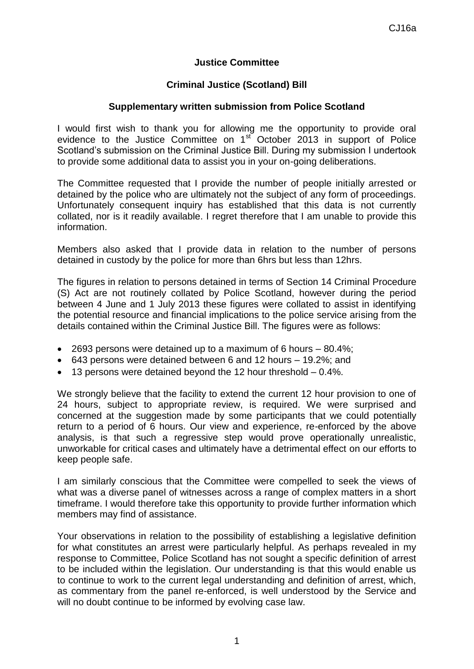## **Justice Committee**

## **Criminal Justice (Scotland) Bill**

## **Supplementary written submission from Police Scotland**

I would first wish to thank you for allowing me the opportunity to provide oral evidence to the Justice Committee on 1<sup>st</sup> October 2013 in support of Police Scotland's submission on the Criminal Justice Bill. During my submission I undertook to provide some additional data to assist you in your on-going deliberations.

The Committee requested that I provide the number of people initially arrested or detained by the police who are ultimately not the subject of any form of proceedings. Unfortunately consequent inquiry has established that this data is not currently collated, nor is it readily available. I regret therefore that I am unable to provide this information.

Members also asked that I provide data in relation to the number of persons detained in custody by the police for more than 6hrs but less than 12hrs.

The figures in relation to persons detained in terms of Section 14 Criminal Procedure (S) Act are not routinely collated by Police Scotland, however during the period between 4 June and 1 July 2013 these figures were collated to assist in identifying the potential resource and financial implications to the police service arising from the details contained within the Criminal Justice Bill. The figures were as follows:

- $\bullet$  2693 persons were detained up to a maximum of 6 hours  $-80.4\%$ ;
- 643 persons were detained between 6 and 12 hours 19.2%; and
- 13 persons were detained beyond the 12 hour threshold 0.4%.

We strongly believe that the facility to extend the current 12 hour provision to one of 24 hours, subject to appropriate review, is required. We were surprised and concerned at the suggestion made by some participants that we could potentially return to a period of 6 hours. Our view and experience, re-enforced by the above analysis, is that such a regressive step would prove operationally unrealistic, unworkable for critical cases and ultimately have a detrimental effect on our efforts to keep people safe.

I am similarly conscious that the Committee were compelled to seek the views of what was a diverse panel of witnesses across a range of complex matters in a short timeframe. I would therefore take this opportunity to provide further information which members may find of assistance.

Your observations in relation to the possibility of establishing a legislative definition for what constitutes an arrest were particularly helpful. As perhaps revealed in my response to Committee, Police Scotland has not sought a specific definition of arrest to be included within the legislation. Our understanding is that this would enable us to continue to work to the current legal understanding and definition of arrest, which, as commentary from the panel re-enforced, is well understood by the Service and will no doubt continue to be informed by evolving case law.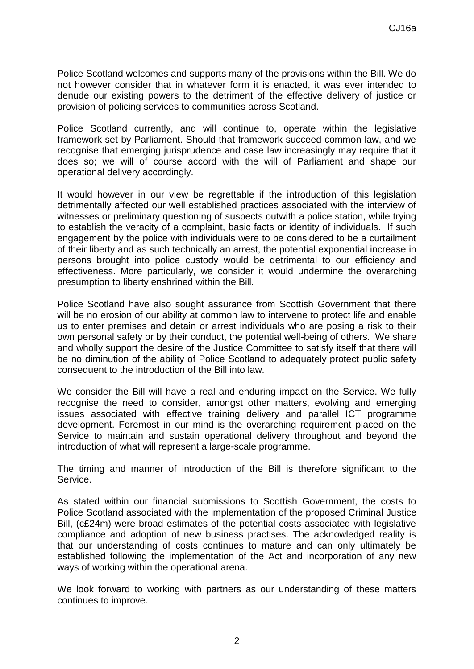Police Scotland welcomes and supports many of the provisions within the Bill. We do not however consider that in whatever form it is enacted, it was ever intended to denude our existing powers to the detriment of the effective delivery of justice or provision of policing services to communities across Scotland.

Police Scotland currently, and will continue to, operate within the legislative framework set by Parliament. Should that framework succeed common law, and we recognise that emerging jurisprudence and case law increasingly may require that it does so; we will of course accord with the will of Parliament and shape our operational delivery accordingly.

It would however in our view be regrettable if the introduction of this legislation detrimentally affected our well established practices associated with the interview of witnesses or preliminary questioning of suspects outwith a police station, while trying to establish the veracity of a complaint, basic facts or identity of individuals. If such engagement by the police with individuals were to be considered to be a curtailment of their liberty and as such technically an arrest, the potential exponential increase in persons brought into police custody would be detrimental to our efficiency and effectiveness. More particularly, we consider it would undermine the overarching presumption to liberty enshrined within the Bill.

Police Scotland have also sought assurance from Scottish Government that there will be no erosion of our ability at common law to intervene to protect life and enable us to enter premises and detain or arrest individuals who are posing a risk to their own personal safety or by their conduct, the potential well-being of others. We share and wholly support the desire of the Justice Committee to satisfy itself that there will be no diminution of the ability of Police Scotland to adequately protect public safety consequent to the introduction of the Bill into law.

We consider the Bill will have a real and enduring impact on the Service. We fully recognise the need to consider, amongst other matters, evolving and emerging issues associated with effective training delivery and parallel ICT programme development. Foremost in our mind is the overarching requirement placed on the Service to maintain and sustain operational delivery throughout and beyond the introduction of what will represent a large-scale programme.

The timing and manner of introduction of the Bill is therefore significant to the Service.

As stated within our financial submissions to Scottish Government, the costs to Police Scotland associated with the implementation of the proposed Criminal Justice Bill, (c£24m) were broad estimates of the potential costs associated with legislative compliance and adoption of new business practises. The acknowledged reality is that our understanding of costs continues to mature and can only ultimately be established following the implementation of the Act and incorporation of any new ways of working within the operational arena.

We look forward to working with partners as our understanding of these matters continues to improve.